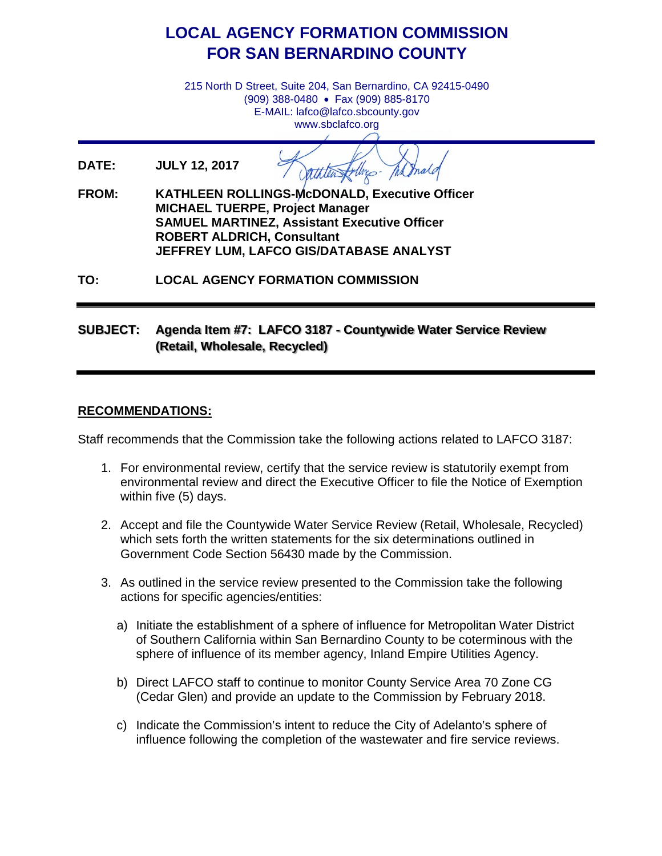# **LOCAL AGENCY FORMATION COMMISSION FOR SAN BERNARDINO COUNTY**

215 North D Street, Suite 204, San Bernardino, CA 92415-0490 (909) 388-0480 • Fax (909) 885-8170 E-MAIL: lafco@lafco.sbcounty.gov www.sbclafco.org

**DATE: JULY 12, 2017**

**FROM: KATHLEEN ROLLINGS-McDONALD, Executive Officer MICHAEL TUERPE, Project Manager SAMUEL MARTINEZ, Assistant Executive Officer ROBERT ALDRICH, Consultant JEFFREY LUM, LAFCO GIS/DATABASE ANALYST**

**TO: LOCAL AGENCY FORMATION COMMISSION**

# **SUBJECT: Agenda Item #7: LAFCO 3187 - Countywide Water Service Review**  SUBJECT: Agenda Item #7: LAFCO 3187 - Countywide Water Service Review **(Retail, Wholesale, Recycled)** (Retail, Whole ale, Recycled)

#### **RECOMMENDATIONS:**

Staff recommends that the Commission take the following actions related to LAFCO 3187:

- 1. For environmental review, certify that the service review is statutorily exempt from environmental review and direct the Executive Officer to file the Notice of Exemption within five (5) days.
- 2. Accept and file the Countywide Water Service Review (Retail, Wholesale, Recycled) which sets forth the written statements for the six determinations outlined in Government Code Section 56430 made by the Commission.
- 3. As outlined in the service review presented to the Commission take the following actions for specific agencies/entities:
	- a) Initiate the establishment of a sphere of influence for Metropolitan Water District of Southern California within San Bernardino County to be coterminous with the sphere of influence of its member agency, Inland Empire Utilities Agency.
	- b) Direct LAFCO staff to continue to monitor County Service Area 70 Zone CG (Cedar Glen) and provide an update to the Commission by February 2018.
	- c) Indicate the Commission's intent to reduce the City of Adelanto's sphere of influence following the completion of the wastewater and fire service reviews.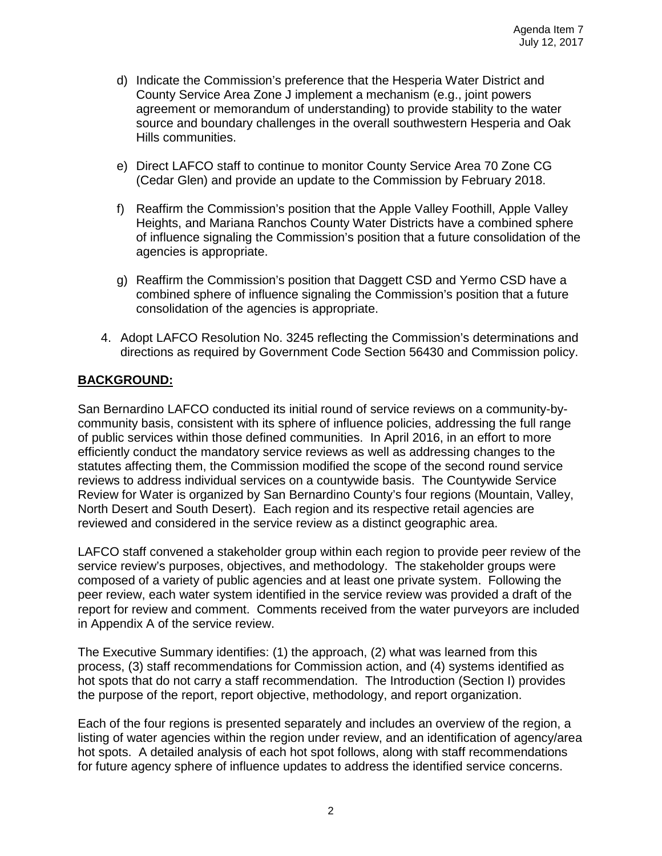- d) Indicate the Commission's preference that the Hesperia Water District and County Service Area Zone J implement a mechanism (e.g., joint powers agreement or memorandum of understanding) to provide stability to the water source and boundary challenges in the overall southwestern Hesperia and Oak Hills communities.
- e) Direct LAFCO staff to continue to monitor County Service Area 70 Zone CG (Cedar Glen) and provide an update to the Commission by February 2018.
- f) Reaffirm the Commission's position that the Apple Valley Foothill, Apple Valley Heights, and Mariana Ranchos County Water Districts have a combined sphere of influence signaling the Commission's position that a future consolidation of the agencies is appropriate.
- g) Reaffirm the Commission's position that Daggett CSD and Yermo CSD have a combined sphere of influence signaling the Commission's position that a future consolidation of the agencies is appropriate.
- 4. Adopt LAFCO Resolution No. 3245 reflecting the Commission's determinations and directions as required by Government Code Section 56430 and Commission policy.

## **BACKGROUND:**

San Bernardino LAFCO conducted its initial round of service reviews on a community-bycommunity basis, consistent with its sphere of influence policies, addressing the full range of public services within those defined communities. In April 2016, in an effort to more efficiently conduct the mandatory service reviews as well as addressing changes to the statutes affecting them, the Commission modified the scope of the second round service reviews to address individual services on a countywide basis. The Countywide Service Review for Water is organized by San Bernardino County's four regions (Mountain, Valley, North Desert and South Desert). Each region and its respective retail agencies are reviewed and considered in the service review as a distinct geographic area.

LAFCO staff convened a stakeholder group within each region to provide peer review of the service review's purposes, objectives, and methodology. The stakeholder groups were composed of a variety of public agencies and at least one private system. Following the peer review, each water system identified in the service review was provided a draft of the report for review and comment. Comments received from the water purveyors are included in Appendix A of the service review.

The Executive Summary identifies: (1) the approach, (2) what was learned from this process, (3) staff recommendations for Commission action, and (4) systems identified as hot spots that do not carry a staff recommendation. The Introduction (Section I) provides the purpose of the report, report objective, methodology, and report organization.

Each of the four regions is presented separately and includes an overview of the region, a listing of water agencies within the region under review, and an identification of agency/area hot spots. A detailed analysis of each hot spot follows, along with staff recommendations for future agency sphere of influence updates to address the identified service concerns.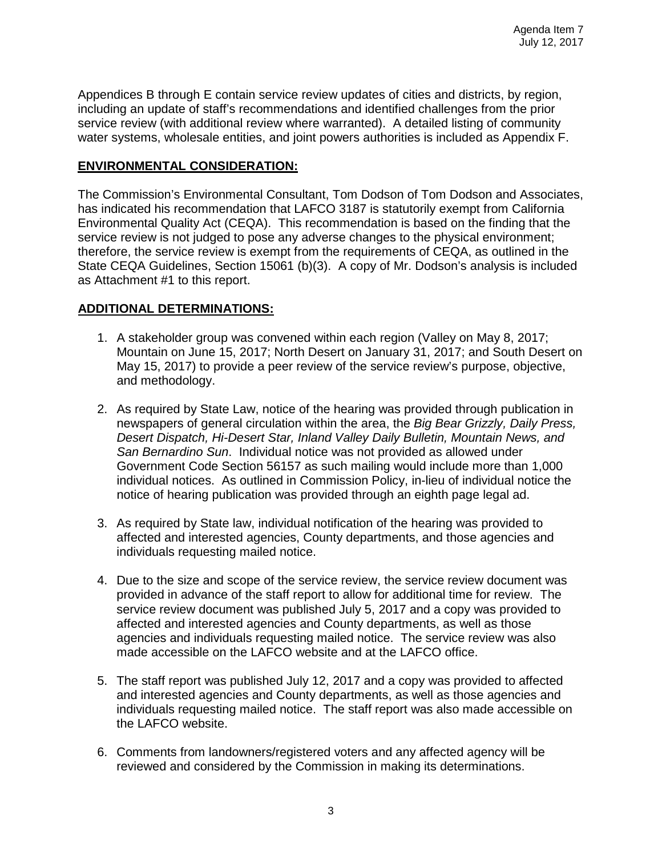Appendices B through E contain service review updates of cities and districts, by region, including an update of staff's recommendations and identified challenges from the prior service review (with additional review where warranted). A detailed listing of community water systems, wholesale entities, and joint powers authorities is included as Appendix F.

#### **ENVIRONMENTAL CONSIDERATION:**

The Commission's Environmental Consultant, Tom Dodson of Tom Dodson and Associates, has indicated his recommendation that LAFCO 3187 is statutorily exempt from California Environmental Quality Act (CEQA). This recommendation is based on the finding that the service review is not judged to pose any adverse changes to the physical environment; therefore, the service review is exempt from the requirements of CEQA, as outlined in the State CEQA Guidelines, Section 15061 (b)(3). A copy of Mr. Dodson's analysis is included as Attachment #1 to this report.

#### **ADDITIONAL DETERMINATIONS:**

- 1. A stakeholder group was convened within each region (Valley on May 8, 2017; Mountain on June 15, 2017; North Desert on January 31, 2017; and South Desert on May 15, 2017) to provide a peer review of the service review's purpose, objective, and methodology.
- 2. As required by State Law, notice of the hearing was provided through publication in newspapers of general circulation within the area, the *Big Bear Grizzly, Daily Press, Desert Dispatch, Hi-Desert Star, Inland Valley Daily Bulletin, Mountain News, and San Bernardino Sun*. Individual notice was not provided as allowed under Government Code Section 56157 as such mailing would include more than 1,000 individual notices. As outlined in Commission Policy, in-lieu of individual notice the notice of hearing publication was provided through an eighth page legal ad.
- 3. As required by State law, individual notification of the hearing was provided to affected and interested agencies, County departments, and those agencies and individuals requesting mailed notice.
- 4. Due to the size and scope of the service review, the service review document was provided in advance of the staff report to allow for additional time for review. The service review document was published July 5, 2017 and a copy was provided to affected and interested agencies and County departments, as well as those agencies and individuals requesting mailed notice. The service review was also made accessible on the LAFCO website and at the LAFCO office.
- 5. The staff report was published July 12, 2017 and a copy was provided to affected and interested agencies and County departments, as well as those agencies and individuals requesting mailed notice. The staff report was also made accessible on the LAFCO website.
- 6. Comments from landowners/registered voters and any affected agency will be reviewed and considered by the Commission in making its determinations.